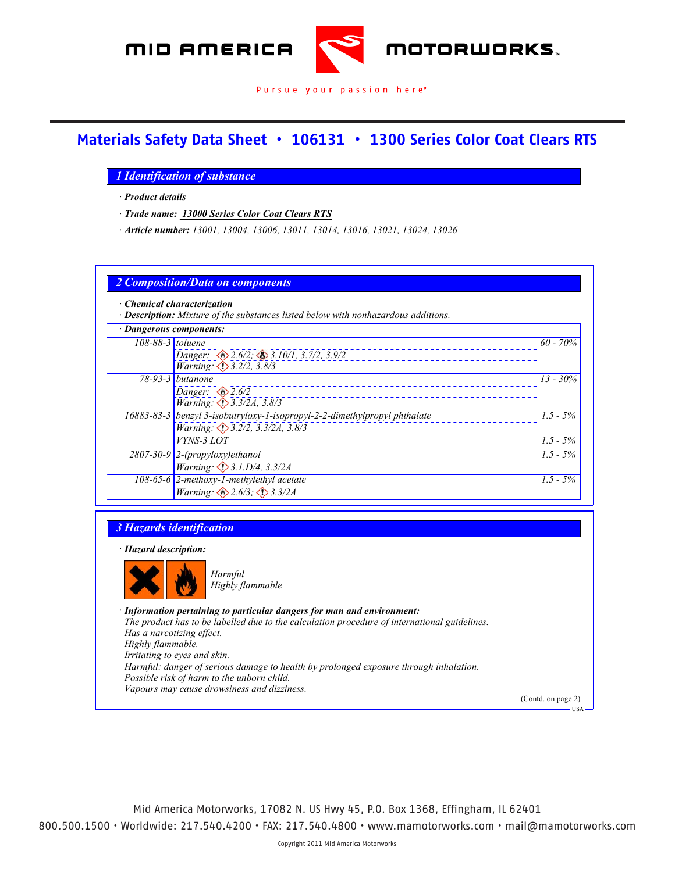

#### **Materials Safety Data Sheet • 106131 • 1300 Series Color Coat Clears RTS** *Printing data direct Product Product <i>Report on 11/2009 Report to Review the Media A · Article number: 13001, 13004, 13006, 13011, 13014, 13016, 13021, 13024, 13026*

*Material Safety Data Sheet*

### *1 Identification of substance SEM Products Inc.*

*· Product details Rock Hill, SC 29730* Product detai

*1685 Overview Drive*

*· Trade name: 13000 Series Color Coat Clears RTS · Information department:*

*· Trade name: 13000 Series Color Coat Clears RTS*

*<i>Article number: 13001, 13004, 13006, 13011, 13014, 13016, 13021, 13024, 13026 111 Were 12001*, 12007

#### *Rock Hill, SC 29730 2 Composition/Data on components 803 207 8225 · Information department: <i>·* **Description:** Mixture of the substances listed below with nonhazardous additions. *· Chemical characterization*

| · Dangerous components: |                                                                           |             |
|-------------------------|---------------------------------------------------------------------------|-------------|
|                         | 108-88-3 toluene                                                          | $60 - 70\%$ |
|                         | Danger: $\otimes$ 2.6/2; $\otimes$ 3.10/1, 3.7/2, 3.9/2                   |             |
|                         | Warning: 1> 3.2/2, 3.8/3                                                  |             |
|                         | 78-93-3 butanone                                                          | $13 - 30\%$ |
|                         | Danger: $\otimes$ 2.6/2                                                   |             |
|                         | Warning: 3.3/2A, 3.8/3                                                    |             |
|                         | 16883-83-3 benzyl 3-isobutryloxy-1-isopropyl-2-2-dimethylpropyl phthalate | $1.5 - 5\%$ |
|                         | Warning: 3.2/2, 3.3/2A, 3.8/3                                             |             |
|                         | VYNS-3 LOT                                                                | $1.5 - 5\%$ |
|                         | $2807-30-9$ 2-(propyloxy)ethanol                                          | $1.5 - 5\%$ |
|                         | <i>Warning:</i> $\bigcirc$ 3.1.D/4, 3.3/2A                                |             |
|                         | 108-65-6 2-methoxy-1-methylethyl acetate                                  | $1.5 - 5\%$ |
|                         | Warning: $\otimes$ 2.6/3; $\otimes$ 3.3/2A                                |             |

#### *Warning: 3.2/2, 3.3/2A, 3.8/3 3 Hazards identification VINS-2 LOT* **1.5 - 5%** *S 1.5 - 5% S 1.5 - 5% S 1.5 - 5% S 1.5 - 5% S 1.5 - 5% S 1.5 S 1.5 S 1.5 S 1.5 S 1.5 S 1.5 S 1.5 S 1.5 S 1.5 S 1.5 S 1.5 S 1.5*

*2807-30-9 2-(propyloxy)ethanol · Hazard description:*



*Highly flammable* 

*· Information pertaining to particular dangers for man and environment:*

*· Information pertaining to particular dangers for man and environment:*

*16883-83-3 benzyl 3-isobutryloxy-1-isopropyl-2-2-dimethylpropyl phthalate*

*3 Hazards identification The product has to be labelled due to the calculation procedure of international guidelines. Highly flammable. Has a narcotizing effect.*

*Irritating to eyes and skin.*

*Harmful Harmful: danger of serious damage to health by prolonged exposure through inhalation.*

*Highly flammable Possible risk of harm to the unborn child.*

*Vapours may cause drowsiness and dizziness.*

(Contd. on page 2)

USA

*1.5 - 5%*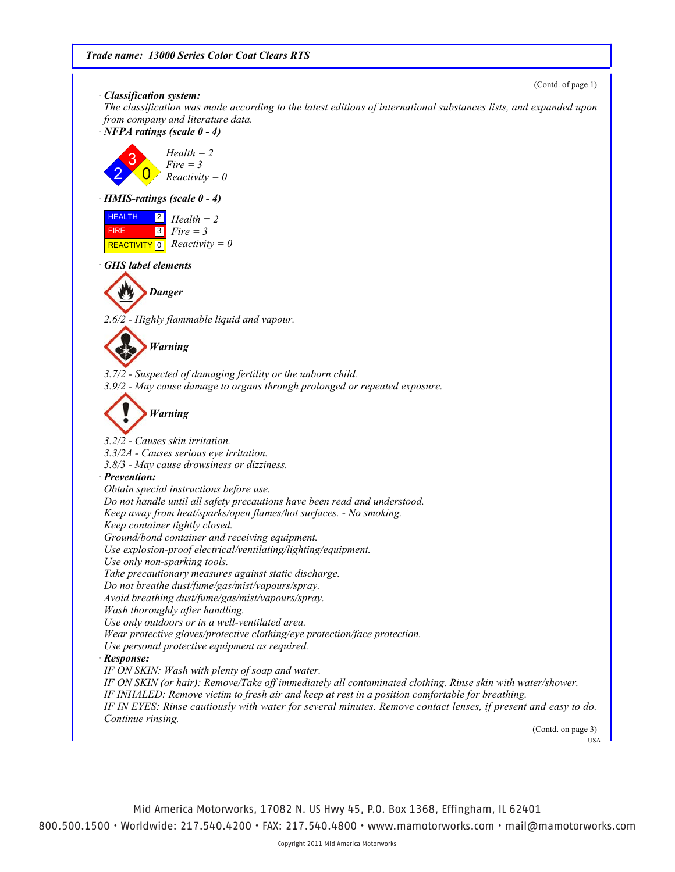(Contd. of page 1)

*· Classification system:*

*The classification was made according to the latest editions of international substances lists, and expanded upon from company and literature data.*

*· NFPA ratings (scale 0 - 4)*



*· HMIS-ratings (scale 0 - 4)*

| <b>HEALTH</b>                 | $\begin{array}{ c c }\n\hline\n 2 & \text{Health} = 2\n\end{array}$ |
|-------------------------------|---------------------------------------------------------------------|
| <b>FIRE</b>                   | $\blacksquare$ 3 $\blacksquare$ Fire = 3                            |
| REACTIVITY 0 $Reactivity = 0$ |                                                                     |

*· GHS label elements*



*2.6/2 - Highly flammable liquid and vapour.*

*Warning*

*3.7/2 - Suspected of damaging fertility or the unborn child. 3.9/2 - May cause damage to organs through prolonged or repeated exposure.*



*3.2/2 - Causes skin irritation. 3.3/2A - Causes serious eye irritation. 3.8/3 - May cause drowsiness or dizziness. · Prevention: Obtain special instructions before use. Do not handle until all safety precautions have been read and understood. Keep away from heat/sparks/open flames/hot surfaces. - No smoking. Keep container tightly closed. Ground/bond container and receiving equipment. Use explosion-proof electrical/ventilating/lighting/equipment. Use only non-sparking tools. Take precautionary measures against static discharge. Do not breathe dust/fume/gas/mist/vapours/spray. Avoid breathing dust/fume/gas/mist/vapours/spray. Wash thoroughly after handling. Use only outdoors or in a well-ventilated area. Wear protective gloves/protective clothing/eye protection/face protection. Use personal protective equipment as required. · Response: IF ON SKIN: Wash with plenty of soap and water. IF ON SKIN (or hair): Remove/Take off immediately all contaminated clothing. Rinse skin with water/shower. IF INHALED: Remove victim to fresh air and keep at rest in a position comfortable for breathing. IF IN EYES: Rinse cautiously with water for several minutes. Remove contact lenses, if present and easy to do. Continue rinsing.*

(Contd. on page 3)  $-118A$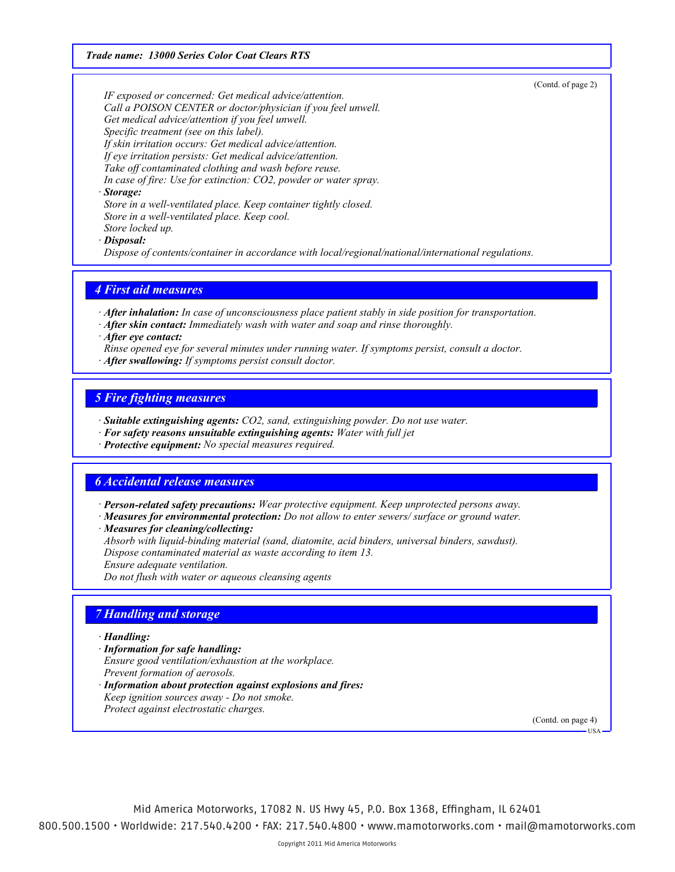*Trade name: 13000 Series Color Coat Clears RTS*

(Contd. of page 2)

*IF exposed or concerned: Get medical advice/attention. Call a POISON CENTER or doctor/physician if you feel unwell. Get medical advice/attention if you feel unwell. Specific treatment (see on this label). If skin irritation occurs: Get medical advice/attention. If eye irritation persists: Get medical advice/attention. Take off contaminated clothing and wash before reuse. In case of fire: Use for extinction: CO2, powder or water spray.*

### *· Storage:*

*Store in a well-ventilated place. Keep container tightly closed. Store in a well-ventilated place. Keep cool. Store locked up.*

*· Disposal:*

*Dispose of contents/container in accordance with local/regional/national/international regulations.*

## *4 First aid measures*

*· After inhalation: In case of unconsciousness place patient stably in side position for transportation.*

- *· After skin contact: Immediately wash with water and soap and rinse thoroughly.*
- *· After eye contact:*
- *Rinse opened eye for several minutes under running water. If symptoms persist, consult a doctor.*
- *· After swallowing: If symptoms persist consult doctor.*

## *5 Fire fighting measures*

- *· Suitable extinguishing agents: CO2, sand, extinguishing powder. Do not use water.*
- *· For safety reasons unsuitable extinguishing agents: Water with full jet*
- *· Protective equipment: No special measures required.*

## *6 Accidental release measures*

- *· Person-related safety precautions: Wear protective equipment. Keep unprotected persons away.*
- *· Measures for environmental protection: Do not allow to enter sewers/ surface or ground water.*
- *· Measures for cleaning/collecting:*
- *Absorb with liquid-binding material (sand, diatomite, acid binders, universal binders, sawdust).*

*Dispose contaminated material as waste according to item 13.*

- *Ensure adequate ventilation.*
- *Do not flush with water or aqueous cleansing agents*

# *7 Handling and storage*

#### *· Handling:*

- *· Information for safe handling:*
- *Ensure good ventilation/exhaustion at the workplace.*
- *Prevent formation of aerosols.*
- *· Information about protection against explosions and fires:*
- *Keep ignition sources away Do not smoke.*
- *Protect against electrostatic charges.*

(Contd. on page 4)

**HSA**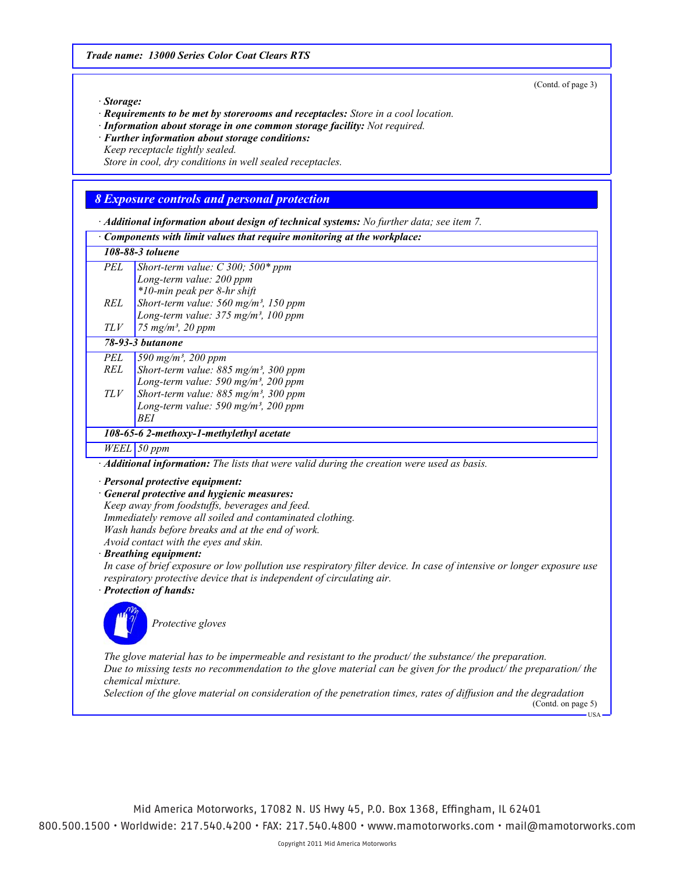(Contd. of page 3)

 $-<sub>U</sub><sub>S</sub>$ 

#### *· Storage:*

*· Requirements to be met by storerooms and receptacles: Store in a cool location.*

*· Information about storage in one common storage facility: Not required.*

*· Further information about storage conditions:*

*Keep receptacle tightly sealed.*

*Store in cool, dry conditions in well sealed receptacles.*

# *8 Exposure controls and personal protection*

| · Additional information about design of technical systems: No further data; see item 7.                        |                                                                                                                                         |  |
|-----------------------------------------------------------------------------------------------------------------|-----------------------------------------------------------------------------------------------------------------------------------------|--|
|                                                                                                                 | Components with limit values that require monitoring at the workplace:                                                                  |  |
|                                                                                                                 | 108-88-3 toluene                                                                                                                        |  |
| <b>PEL</b>                                                                                                      | Short-term value: $C$ 300; 500* ppm                                                                                                     |  |
|                                                                                                                 | Long-term value: 200 ppm                                                                                                                |  |
|                                                                                                                 | *10-min peak per 8-hr shift                                                                                                             |  |
| <b>REL</b>                                                                                                      | Short-term value: $560$ mg/m <sup>3</sup> , 150 ppm                                                                                     |  |
|                                                                                                                 | Long-term value: $375$ mg/m <sup>3</sup> , 100 ppm                                                                                      |  |
| $TLV$                                                                                                           | 75 mg/m <sup>3</sup> , 20 ppm                                                                                                           |  |
|                                                                                                                 | 78-93-3 <i>butanone</i>                                                                                                                 |  |
| <b>PEL</b>                                                                                                      | 590 mg/m <sup>3</sup> , 200 ppm                                                                                                         |  |
| <b>REL</b>                                                                                                      | Short-term value: 885 mg/m <sup>3</sup> , 300 ppm                                                                                       |  |
|                                                                                                                 | Long-term value: 590 mg/m <sup>3</sup> , 200 ppm                                                                                        |  |
| $TLV$                                                                                                           | Short-term value: 885 mg/m <sup>3</sup> , 300 ppm                                                                                       |  |
|                                                                                                                 | Long-term value: 590 mg/m <sup>3</sup> , 200 ppm                                                                                        |  |
|                                                                                                                 | BEI                                                                                                                                     |  |
|                                                                                                                 | 108-65-6 2-methoxy-1-methylethyl acetate                                                                                                |  |
|                                                                                                                 | $WELL$ 50 ppm                                                                                                                           |  |
|                                                                                                                 | · Additional information: The lists that were valid during the creation were used as basis.                                             |  |
|                                                                                                                 | · Personal protective equipment:                                                                                                        |  |
|                                                                                                                 | · General protective and hygienic measures:                                                                                             |  |
|                                                                                                                 | Keep away from foodstuffs, beverages and feed.                                                                                          |  |
|                                                                                                                 | Immediately remove all soiled and contaminated clothing.                                                                                |  |
|                                                                                                                 | Wash hands before breaks and at the end of work.                                                                                        |  |
|                                                                                                                 | Avoid contact with the eyes and skin.                                                                                                   |  |
|                                                                                                                 | · Breathing equipment:                                                                                                                  |  |
|                                                                                                                 | In case of brief exposure or low pollution use respiratory filter device. In case of intensive or longer exposure use                   |  |
|                                                                                                                 | respiratory protective device that is independent of circulating air.<br>· Protection of hands:                                         |  |
|                                                                                                                 |                                                                                                                                         |  |
|                                                                                                                 |                                                                                                                                         |  |
|                                                                                                                 | Protective gloves                                                                                                                       |  |
|                                                                                                                 |                                                                                                                                         |  |
|                                                                                                                 | The glove material has to be impermeable and resistant to the product/ the substance/ the preparation.                                  |  |
| Due to missing tests no recommendation to the glove material can be given for the product/ the preparation/ the |                                                                                                                                         |  |
| chemical mixture.                                                                                               |                                                                                                                                         |  |
|                                                                                                                 | Selection of the glove material on consideration of the penetration times, rates of diffusion and the degradation<br>(Contd. on page 5) |  |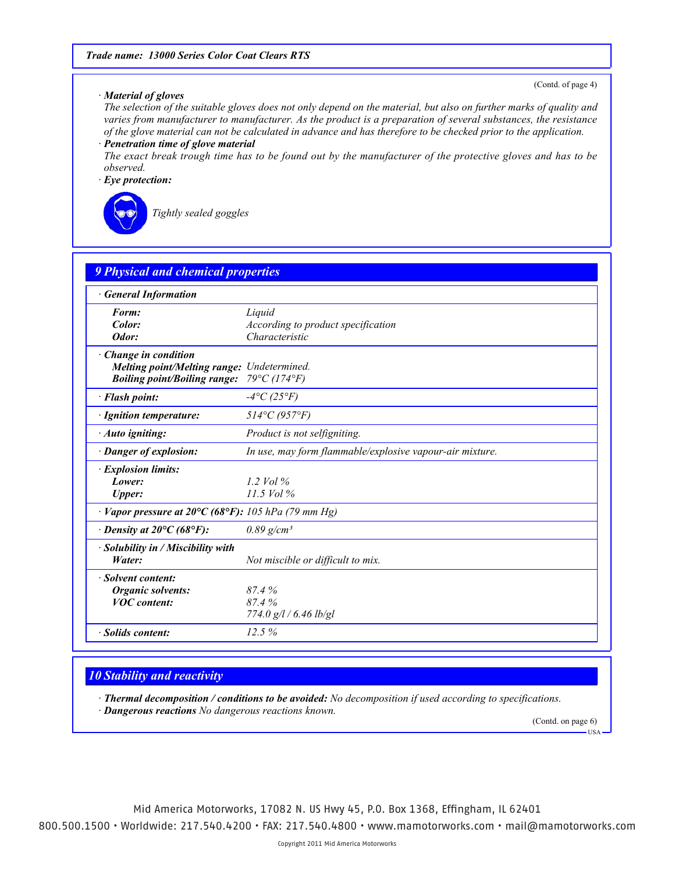### *· Material of gloves*

(Contd. of page 4)

*The selection of the suitable gloves does not only depend on the material, but also on further marks of quality and varies from manufacturer to manufacturer. As the product is a preparation of several substances, the resistance of the glove material can not be calculated in advance and has therefore to be checked prior to the application. · Penetration time of glove material*

*The exact break trough time has to be found out by the manufacturer of the protective gloves and has to be observed.*

*· Eye protection:*



*Tightly sealed goggles*

| <b>General Information</b>                                                       |                                                          |
|----------------------------------------------------------------------------------|----------------------------------------------------------|
| Form:                                                                            | Liquid                                                   |
| Color:                                                                           | According to product specification                       |
| Odor:                                                                            | Characteristic                                           |
| · Change in condition                                                            |                                                          |
| Melting point/Melting range: Undetermined.                                       |                                                          |
| <b>Boiling point/Boiling range:</b>                                              | $79^{\circ}C(174^{\circ}F)$                              |
| · Flash point:                                                                   | $-4$ °C (25°F)                                           |
| · Ignition temperature:                                                          | $514^{\circ}C(957^{\circ}F)$                             |
| · Auto igniting:                                                                 | Product is not selfigniting.                             |
| · Danger of explosion:                                                           | In use, may form flammable/explosive vapour-air mixture. |
| · Explosion limits:                                                              |                                                          |
| Lower:                                                                           | 1.2 Vol $\%$                                             |
| <b>Upper:</b>                                                                    | $11.5$ Vol %                                             |
| $\cdot$ Vapor pressure at 20 $\rm{C}$ (68 $\rm{^{\circ}F}$ ): 105 hPa (79 mm Hg) |                                                          |
| $\cdot$ Density at 20 $\rm{^{\circ}C}$ (68 $\rm{^{\circ}F}$ ):                   | $0.89$ g/cm <sup>3</sup>                                 |
| · Solubility in / Miscibility with                                               |                                                          |
| Water:                                                                           | Not miscible or difficult to mix.                        |
| · Solvent content:                                                               |                                                          |
| <b>Organic solvents:</b>                                                         | 87.4%                                                    |
| <b>VOC</b> content:                                                              | 87.4%                                                    |
|                                                                                  | 774.0 g/l / 6.46 lb/gl                                   |
| · Solids content:                                                                | 12.5%                                                    |

# *10 Stability and reactivity*

*· Thermal decomposition / conditions to be avoided: No decomposition if used according to specifications. · Dangerous reactions No dangerous reactions known.*

(Contd. on page 6)

USA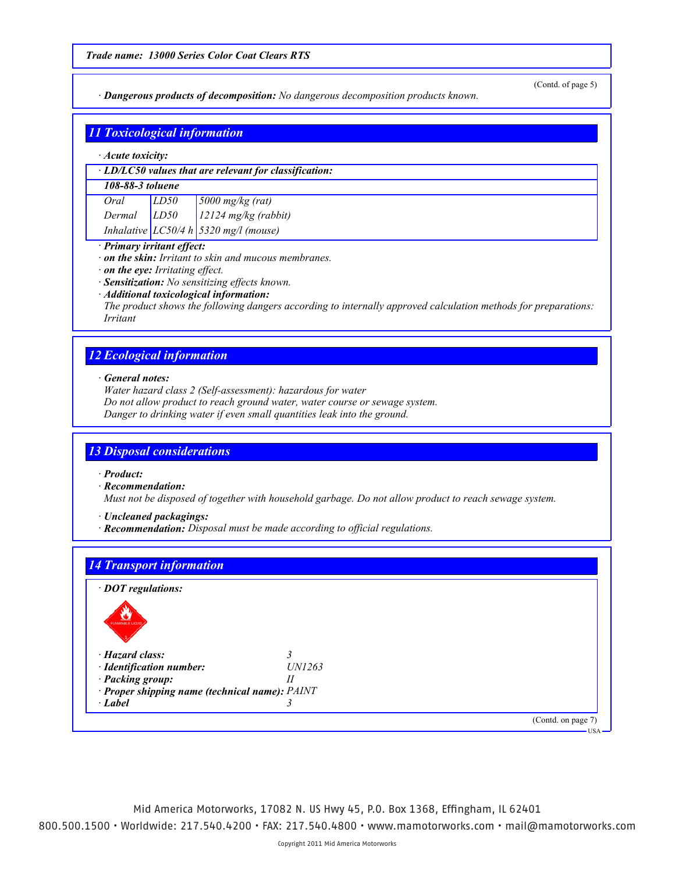*· Dangerous products of decomposition: No dangerous decomposition products known.*

(Contd. of page 5)

|                  | <b>11 Toxicological information</b>                                                                                         |                                                              |  |  |
|------------------|-----------------------------------------------------------------------------------------------------------------------------|--------------------------------------------------------------|--|--|
|                  | $\cdot$ Acute toxicity:                                                                                                     |                                                              |  |  |
|                  |                                                                                                                             | $\cdot$ LD/LC50 values that are relevant for classification: |  |  |
| 108-88-3 toluene |                                                                                                                             |                                                              |  |  |
| Oral             | LD50                                                                                                                        | $5000$ mg/kg (rat)                                           |  |  |
| Dermal           | LD50                                                                                                                        | $12124$ mg/kg (rabbit)                                       |  |  |
|                  |                                                                                                                             | Inhalative $LC50/4 h$ 5320 mg/l (mouse)                      |  |  |
|                  | · Primary irritant effect:<br>$\cdot$ on the skin: Irritant to skin and mucous membranes.<br>on the eye: Irritating effect. |                                                              |  |  |

- *· Sensitization: No sensitizing effects known.*
- *· Additional toxicological information:*

*The product shows the following dangers according to internally approved calculation methods for preparations: Irritant*

# *12 Ecological information*

*· General notes:*

*Water hazard class 2 (Self-assessment): hazardous for water Do not allow product to reach ground water, water course or sewage system. Danger to drinking water if even small quantities leak into the ground.*

# *13 Disposal considerations*

*· Product:*

*· Recommendation:*

*Must not be disposed of together with household garbage. Do not allow product to reach sewage system.*

*· Uncleaned packagings:*

*· Recommendation: Disposal must be made according to official regulations.*

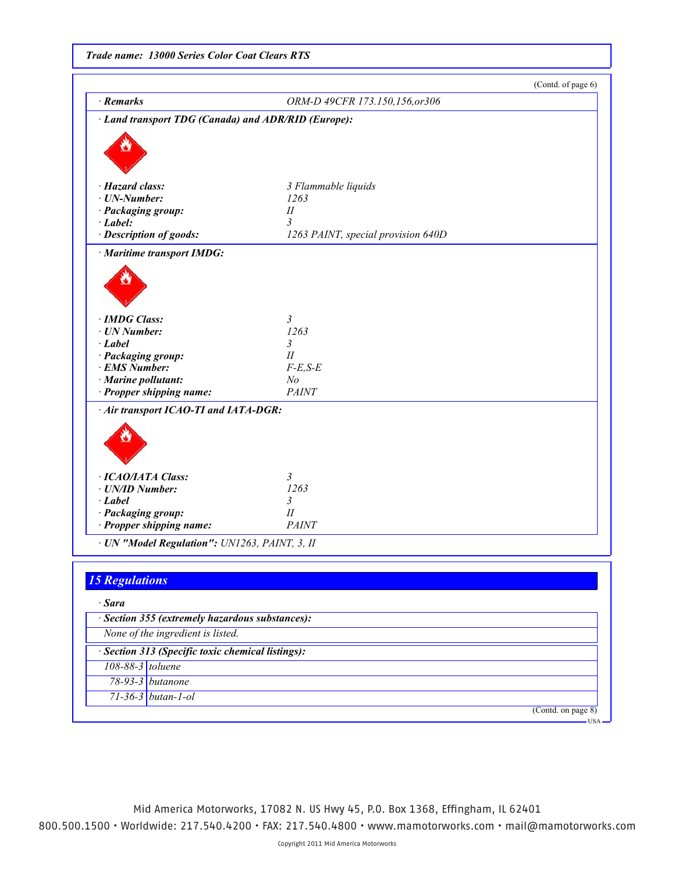|  | <b>Trade name: 13000 Series Color Coat Clears RTS</b> |  |  |
|--|-------------------------------------------------------|--|--|
|--|-------------------------------------------------------|--|--|

|                                                     |                                    | (Contd. of page 6) |
|-----------------------------------------------------|------------------------------------|--------------------|
| · Remarks                                           | ORM-D 49CFR 173.150,156,or306      |                    |
| · Land transport TDG (Canada) and ADR/RID (Europe): |                                    |                    |
|                                                     |                                    |                    |
|                                                     |                                    |                    |
|                                                     |                                    |                    |
| · Hazard class:                                     | 3 Flammable liquids                |                    |
| $\cdot$ UN-Number:                                  | 1263                               |                    |
| · Packaging group:                                  | $I\!I$                             |                    |
| $\cdot$ <i>Label:</i>                               | 3                                  |                    |
| · Description of goods:                             | 1263 PAINT, special provision 640D |                    |
| · Maritime transport IMDG:                          |                                    |                    |
|                                                     |                                    |                    |
|                                                     |                                    |                    |
|                                                     |                                    |                    |
|                                                     |                                    |                    |
| · IMDG Class:                                       | 3                                  |                    |
| · UN Number:                                        | 1263                               |                    |
| $-Label$                                            | 3<br>II                            |                    |
| · Packaging group:<br>· EMS Number:                 | $F-E,S-E$                          |                    |
| · Marine pollutant:                                 | N <sub>o</sub>                     |                    |
| · Propper shipping name:                            | <b>PAINT</b>                       |                    |
| · Air transport ICAO-TI and IATA-DGR:               |                                    |                    |
|                                                     |                                    |                    |
|                                                     |                                    |                    |
|                                                     |                                    |                    |
| · ICAO/IATA Class:                                  | 3                                  |                    |
| · UN/ID Number:                                     | 1263                               |                    |
| · Label                                             | 3                                  |                    |
| · Packaging group:                                  | $I\!I$<br><b>PAINT</b>             |                    |
| · Propper shipping name:                            |                                    |                    |
| · UN "Model Regulation": UN1263, PAINT, 3, II       |                                    |                    |
|                                                     |                                    |                    |
| <b>15 Regulations</b>                               |                                    |                    |
| · Sara                                              |                                    |                    |
| · Section 355 (extremely hazardous substances):     |                                    |                    |
| None of the ingredient is listed.                   |                                    |                    |
| · Section 313 (Specific toxic chemical listings):   |                                    |                    |
|                                                     |                                    |                    |
| 108-88-3 toluene                                    |                                    |                    |
|                                                     |                                    |                    |
| 78-93-3 butanone<br>$71-36-3$ butan-1-ol            |                                    |                    |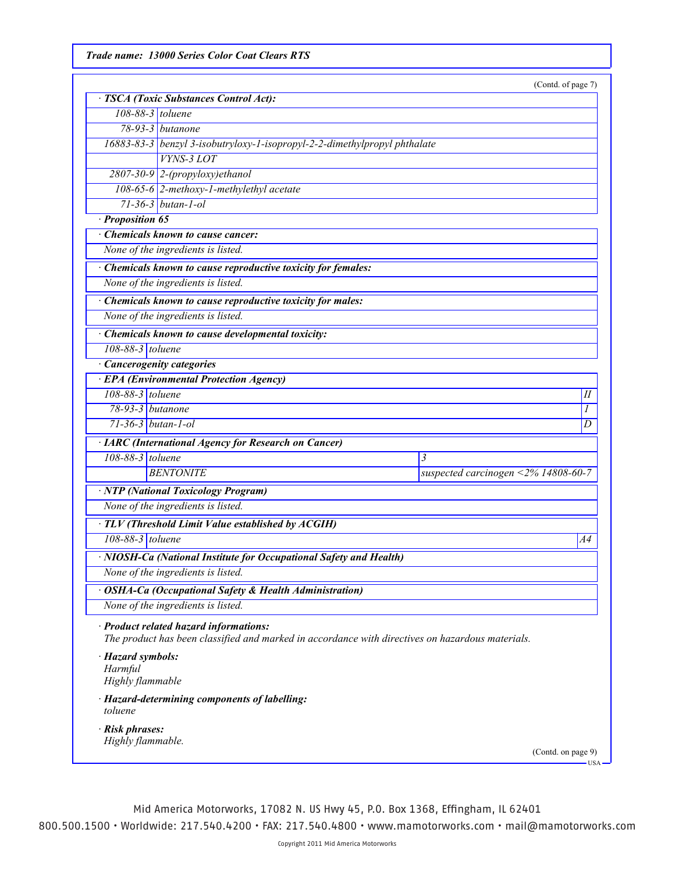*Trade name: 13000 Series Color Coat Clears RTS*

(Contd. of page 7)

|                                                  | · TSCA (Toxic Substances Control Act):                                                                                                     |                                     |  |
|--------------------------------------------------|--------------------------------------------------------------------------------------------------------------------------------------------|-------------------------------------|--|
| 108-88-3 toluene                                 |                                                                                                                                            |                                     |  |
|                                                  | 78-93-3 butanone                                                                                                                           |                                     |  |
|                                                  | 16883-83-3 benzyl 3-isobutryloxy-1-isopropyl-2-2-dimethylpropyl phthalate                                                                  |                                     |  |
|                                                  | <b>VYNS-3 LOT</b>                                                                                                                          |                                     |  |
|                                                  | 2807-30-9 2-(propyloxy)ethanol                                                                                                             |                                     |  |
|                                                  | 108-65-6 2-methoxy-1-methylethyl acetate                                                                                                   |                                     |  |
|                                                  | $71 - 36 - 3$ butan-1-ol                                                                                                                   |                                     |  |
| · Proposition 65                                 |                                                                                                                                            |                                     |  |
|                                                  | Chemicals known to cause cancer:                                                                                                           |                                     |  |
|                                                  | None of the ingredients is listed.                                                                                                         |                                     |  |
|                                                  | Chemicals known to cause reproductive toxicity for females:                                                                                |                                     |  |
|                                                  | None of the ingredients is listed.                                                                                                         |                                     |  |
|                                                  | · Chemicals known to cause reproductive toxicity for males:                                                                                |                                     |  |
|                                                  | None of the ingredients is listed.                                                                                                         |                                     |  |
|                                                  | · Chemicals known to cause developmental toxicity:                                                                                         |                                     |  |
| $108-88-3$ toluene                               |                                                                                                                                            |                                     |  |
|                                                  | · Cancerogenity categories                                                                                                                 |                                     |  |
|                                                  | · EPA (Environmental Protection Agency)                                                                                                    |                                     |  |
| 108-88-3 toluene                                 |                                                                                                                                            | П                                   |  |
| $78-93-3$ butanone                               |                                                                                                                                            | 1                                   |  |
| $71-36-3$ butan-1-ol                             |                                                                                                                                            | D                                   |  |
|                                                  | · IARC (International Agency for Research on Cancer)                                                                                       |                                     |  |
| 108-88-3 toluene                                 |                                                                                                                                            | 3                                   |  |
|                                                  | <b>BENTONITE</b>                                                                                                                           | suspected carcinogen <2% 14808-60-7 |  |
|                                                  | <b>NTP</b> (National Toxicology Program)                                                                                                   |                                     |  |
|                                                  | None of the ingredients is listed.                                                                                                         |                                     |  |
|                                                  | · TLV (Threshold Limit Value established by ACGIH)                                                                                         |                                     |  |
| 108-88-3 toluene                                 |                                                                                                                                            | A4                                  |  |
|                                                  | · NIOSH-Ca (National Institute for Occupational Safety and Health)                                                                         |                                     |  |
|                                                  | None of the ingredients is listed.                                                                                                         |                                     |  |
|                                                  |                                                                                                                                            |                                     |  |
|                                                  | <b>OSHA-Ca (Occupational Safety &amp; Health Administration)</b><br>None of the ingredients is listed.                                     |                                     |  |
|                                                  |                                                                                                                                            |                                     |  |
|                                                  | · Product related hazard informations:<br>The product has been classified and marked in accordance with directives on hazardous materials. |                                     |  |
| · Hazard symbols:<br>Harmful<br>Highly flammable |                                                                                                                                            |                                     |  |
| toluene                                          | · Hazard-determining components of labelling:                                                                                              |                                     |  |
| · Risk phrases:<br>Highly flammable.             |                                                                                                                                            |                                     |  |
|                                                  |                                                                                                                                            | (Contd. on page 9)<br>USA-          |  |

Mid America Motorworks, 17082 N. US Hwy 45, P.O. Box 1368, Effingham, IL 62401

800.500.1500 • Worldwide: 217.540.4200 • FAX: 217.540.4800 • www.mamotorworks.com • mail@mamotorworks.com